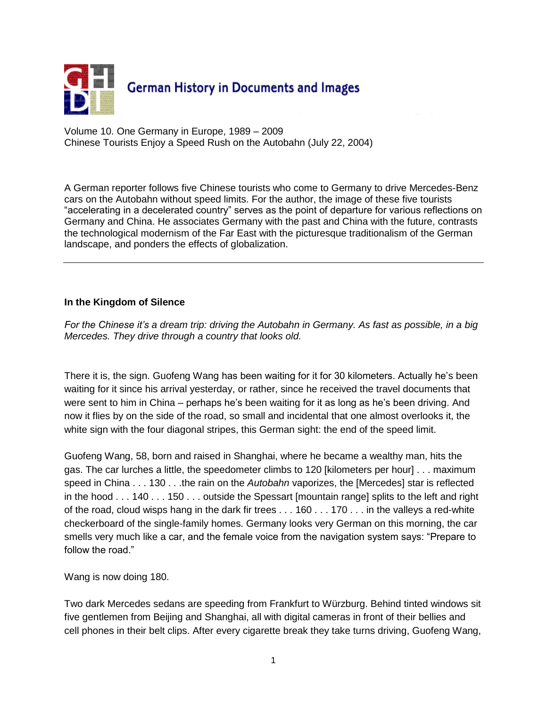

Volume 10. One Germany in Europe, 1989 – 2009 Chinese Tourists Enjoy a Speed Rush on the Autobahn (July 22, 2004)

A German reporter follows five Chinese tourists who come to Germany to drive Mercedes-Benz cars on the Autobahn without speed limits. For the author, the image of these five tourists "accelerating in a decelerated country" serves as the point of departure for various reflections on Germany and China. He associates Germany with the past and China with the future, contrasts the technological modernism of the Far East with the picturesque traditionalism of the German landscape, and ponders the effects of globalization.

### **In the Kingdom of Silence**

*For the Chinese it's a dream trip: driving the Autobahn in Germany. As fast as possible, in a big Mercedes. They drive through a country that looks old.*

There it is, the sign. Guofeng Wang has been waiting for it for 30 kilometers. Actually he's been waiting for it since his arrival yesterday, or rather, since he received the travel documents that were sent to him in China – perhaps he's been waiting for it as long as he's been driving. And now it flies by on the side of the road, so small and incidental that one almost overlooks it, the white sign with the four diagonal stripes, this German sight: the end of the speed limit.

Guofeng Wang, 58, born and raised in Shanghai, where he became a wealthy man, hits the gas. The car lurches a little, the speedometer climbs to 120 [kilometers per hour] . . . maximum speed in China . . . 130 . . .the rain on the *Autobahn* vaporizes, the [Mercedes] star is reflected in the hood . . . 140 . . . 150 . . . outside the Spessart [mountain range] splits to the left and right of the road, cloud wisps hang in the dark fir trees . . . 160 . . . 170 . . . in the valleys a red-white checkerboard of the single-family homes. Germany looks very German on this morning, the car smells very much like a car, and the female voice from the navigation system says: "Prepare to follow the road."

Wang is now doing 180.

Two dark Mercedes sedans are speeding from Frankfurt to Würzburg. Behind tinted windows sit five gentlemen from Beijing and Shanghai, all with digital cameras in front of their bellies and cell phones in their belt clips. After every cigarette break they take turns driving, Guofeng Wang,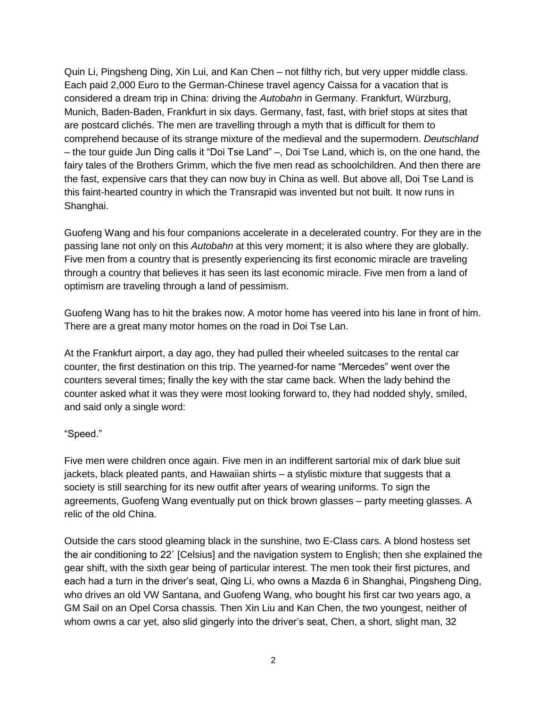Quin Li, Pingsheng Ding, Xin Lui, and Kan Chen – not filthy rich, but very upper middle class. Each paid 2,000 Euro to the German-Chinese travel agency Caissa for a vacation that is considered a dream trip in China: driving the *Autobahn* in Germany. Frankfurt, Würzburg, Munich, Baden-Baden, Frankfurt in six days. Germany, fast, fast, with brief stops at sites that are postcard clichés. The men are travelling through a myth that is difficult for them to comprehend because of its strange mixture of the medieval and the supermodern. *Deutschland* – the tour guide Jun Ding calls it "Doi Tse Land" –, Doi Tse Land, which is, on the one hand, the fairy tales of the Brothers Grimm, which the five men read as schoolchildren. And then there are the fast, expensive cars that they can now buy in China as well. But above all, Doi Tse Land is this faint-hearted country in which the Transrapid was invented but not built. It now runs in Shanghai.

Guofeng Wang and his four companions accelerate in a decelerated country. For they are in the passing lane not only on this *Autobahn* at this very moment; it is also where they are globally. Five men from a country that is presently experiencing its first economic miracle are traveling through a country that believes it has seen its last economic miracle. Five men from a land of optimism are traveling through a land of pessimism.

Guofeng Wang has to hit the brakes now. A motor home has veered into his lane in front of him. There are a great many motor homes on the road in Doi Tse Lan.

At the Frankfurt airport, a day ago, they had pulled their wheeled suitcases to the rental car counter, the first destination on this trip. The yearned-for name "Mercedes" went over the counters several times; finally the key with the star came back. When the lady behind the counter asked what it was they were most looking forward to, they had nodded shyly, smiled, and said only a single word:

#### "Speed."

Five men were children once again. Five men in an indifferent sartorial mix of dark blue suit jackets, black pleated pants, and Hawaiian shirts – a stylistic mixture that suggests that a society is still searching for its new outfit after years of wearing uniforms. To sign the agreements, Guofeng Wang eventually put on thick brown glasses – party meeting glasses. A relic of the old China.

Outside the cars stood gleaming black in the sunshine, two E-Class cars. A blond hostess set the air conditioning to 22˚ [Celsius] and the navigation system to English; then she explained the gear shift, with the sixth gear being of particular interest. The men took their first pictures, and each had a turn in the driver's seat, Qing Li, who owns a Mazda 6 in Shanghai, Pingsheng Ding, who drives an old VW Santana, and Guofeng Wang, who bought his first car two years ago, a GM Sail on an Opel Corsa chassis. Then Xin Liu and Kan Chen, the two youngest, neither of whom owns a car yet, also slid gingerly into the driver's seat, Chen, a short, slight man, 32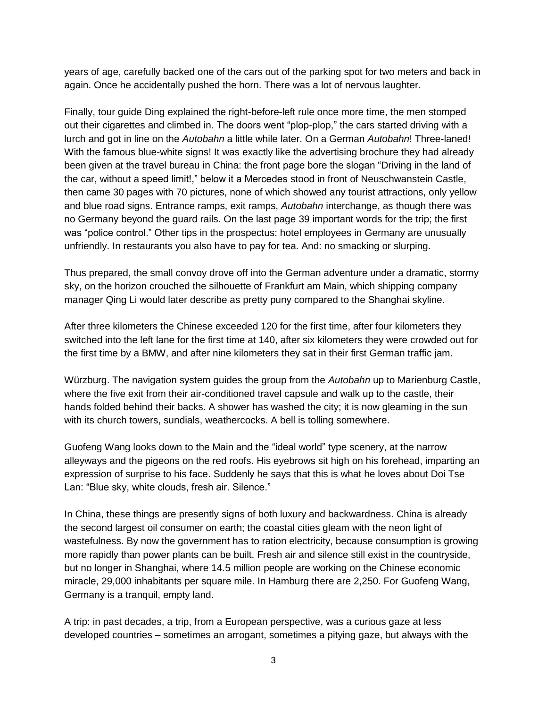years of age, carefully backed one of the cars out of the parking spot for two meters and back in again. Once he accidentally pushed the horn. There was a lot of nervous laughter.

Finally, tour guide Ding explained the right-before-left rule once more time, the men stomped out their cigarettes and climbed in. The doors went "plop-plop," the cars started driving with a lurch and got in line on the *Autobahn* a little while later. On a German *Autobahn*! Three-laned! With the famous blue-white signs! It was exactly like the advertising brochure they had already been given at the travel bureau in China: the front page bore the slogan "Driving in the land of the car, without a speed limit!," below it a Mercedes stood in front of Neuschwanstein Castle, then came 30 pages with 70 pictures, none of which showed any tourist attractions, only yellow and blue road signs. Entrance ramps, exit ramps, *Autobahn* interchange, as though there was no Germany beyond the guard rails. On the last page 39 important words for the trip; the first was "police control." Other tips in the prospectus: hotel employees in Germany are unusually unfriendly. In restaurants you also have to pay for tea. And: no smacking or slurping.

Thus prepared, the small convoy drove off into the German adventure under a dramatic, stormy sky, on the horizon crouched the silhouette of Frankfurt am Main, which shipping company manager Qing Li would later describe as pretty puny compared to the Shanghai skyline.

After three kilometers the Chinese exceeded 120 for the first time, after four kilometers they switched into the left lane for the first time at 140, after six kilometers they were crowded out for the first time by a BMW, and after nine kilometers they sat in their first German traffic jam.

Würzburg. The navigation system guides the group from the *Autobahn* up to Marienburg Castle, where the five exit from their air-conditioned travel capsule and walk up to the castle, their hands folded behind their backs. A shower has washed the city; it is now gleaming in the sun with its church towers, sundials, weathercocks. A bell is tolling somewhere.

Guofeng Wang looks down to the Main and the "ideal world" type scenery, at the narrow alleyways and the pigeons on the red roofs. His eyebrows sit high on his forehead, imparting an expression of surprise to his face. Suddenly he says that this is what he loves about Doi Tse Lan: "Blue sky, white clouds, fresh air. Silence."

In China, these things are presently signs of both luxury and backwardness. China is already the second largest oil consumer on earth; the coastal cities gleam with the neon light of wastefulness. By now the government has to ration electricity, because consumption is growing more rapidly than power plants can be built. Fresh air and silence still exist in the countryside, but no longer in Shanghai, where 14.5 million people are working on the Chinese economic miracle, 29,000 inhabitants per square mile. In Hamburg there are 2,250. For Guofeng Wang, Germany is a tranquil, empty land.

A trip: in past decades, a trip, from a European perspective, was a curious gaze at less developed countries – sometimes an arrogant, sometimes a pitying gaze, but always with the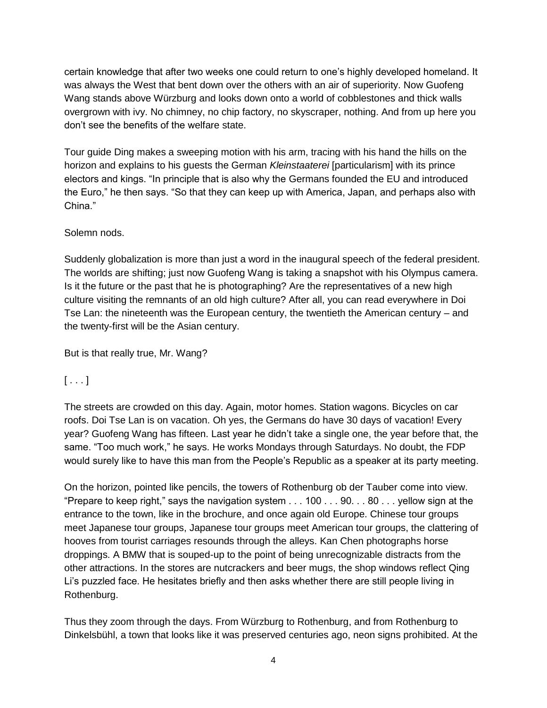certain knowledge that after two weeks one could return to one's highly developed homeland. It was always the West that bent down over the others with an air of superiority. Now Guofeng Wang stands above Würzburg and looks down onto a world of cobblestones and thick walls overgrown with ivy. No chimney, no chip factory, no skyscraper, nothing. And from up here you don't see the benefits of the welfare state.

Tour guide Ding makes a sweeping motion with his arm, tracing with his hand the hills on the horizon and explains to his guests the German *Kleinstaaterei* [particularism] with its prince electors and kings. "In principle that is also why the Germans founded the EU and introduced the Euro," he then says. "So that they can keep up with America, Japan, and perhaps also with China."

### Solemn nods.

Suddenly globalization is more than just a word in the inaugural speech of the federal president. The worlds are shifting; just now Guofeng Wang is taking a snapshot with his Olympus camera. Is it the future or the past that he is photographing? Are the representatives of a new high culture visiting the remnants of an old high culture? After all, you can read everywhere in Doi Tse Lan: the nineteenth was the European century, the twentieth the American century – and the twenty-first will be the Asian century.

But is that really true, Mr. Wang?

### $[\ldots]$

The streets are crowded on this day. Again, motor homes. Station wagons. Bicycles on car roofs. Doi Tse Lan is on vacation. Oh yes, the Germans do have 30 days of vacation! Every year? Guofeng Wang has fifteen. Last year he didn't take a single one, the year before that, the same. "Too much work," he says. He works Mondays through Saturdays. No doubt, the FDP would surely like to have this man from the People's Republic as a speaker at its party meeting.

On the horizon, pointed like pencils, the towers of Rothenburg ob der Tauber come into view. "Prepare to keep right," says the navigation system . . . 100 . . . 90. . . 80 . . . yellow sign at the entrance to the town, like in the brochure, and once again old Europe. Chinese tour groups meet Japanese tour groups, Japanese tour groups meet American tour groups, the clattering of hooves from tourist carriages resounds through the alleys. Kan Chen photographs horse droppings. A BMW that is souped-up to the point of being unrecognizable distracts from the other attractions. In the stores are nutcrackers and beer mugs, the shop windows reflect Qing Li's puzzled face. He hesitates briefly and then asks whether there are still people living in Rothenburg.

Thus they zoom through the days. From Würzburg to Rothenburg, and from Rothenburg to Dinkelsbühl, a town that looks like it was preserved centuries ago, neon signs prohibited. At the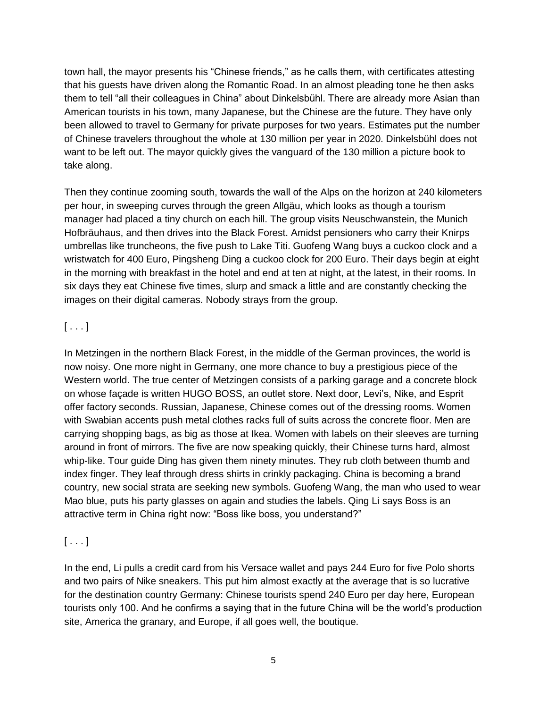town hall, the mayor presents his "Chinese friends," as he calls them, with certificates attesting that his guests have driven along the Romantic Road. In an almost pleading tone he then asks them to tell "all their colleagues in China" about Dinkelsbühl. There are already more Asian than American tourists in his town, many Japanese, but the Chinese are the future. They have only been allowed to travel to Germany for private purposes for two years. Estimates put the number of Chinese travelers throughout the whole at 130 million per year in 2020. Dinkelsbühl does not want to be left out. The mayor quickly gives the vanguard of the 130 million a picture book to take along.

Then they continue zooming south, towards the wall of the Alps on the horizon at 240 kilometers per hour, in sweeping curves through the green Allgäu, which looks as though a tourism manager had placed a tiny church on each hill. The group visits Neuschwanstein, the Munich Hofbräuhaus, and then drives into the Black Forest. Amidst pensioners who carry their Knirps umbrellas like truncheons, the five push to Lake Titi. Guofeng Wang buys a cuckoo clock and a wristwatch for 400 Euro, Pingsheng Ding a cuckoo clock for 200 Euro. Their days begin at eight in the morning with breakfast in the hotel and end at ten at night, at the latest, in their rooms. In six days they eat Chinese five times, slurp and smack a little and are constantly checking the images on their digital cameras. Nobody strays from the group.

## $[\ldots]$

In Metzingen in the northern Black Forest, in the middle of the German provinces, the world is now noisy. One more night in Germany, one more chance to buy a prestigious piece of the Western world. The true center of Metzingen consists of a parking garage and a concrete block on whose façade is written HUGO BOSS, an outlet store. Next door, Levi's, Nike, and Esprit offer factory seconds. Russian, Japanese, Chinese comes out of the dressing rooms. Women with Swabian accents push metal clothes racks full of suits across the concrete floor. Men are carrying shopping bags, as big as those at Ikea. Women with labels on their sleeves are turning around in front of mirrors. The five are now speaking quickly, their Chinese turns hard, almost whip-like. Tour guide Ding has given them ninety minutes. They rub cloth between thumb and index finger. They leaf through dress shirts in crinkly packaging. China is becoming a brand country, new social strata are seeking new symbols. Guofeng Wang, the man who used to wear Mao blue, puts his party glasses on again and studies the labels. Qing Li says Boss is an attractive term in China right now: "Boss like boss, you understand?"

# $[\ldots]$

In the end, Li pulls a credit card from his Versace wallet and pays 244 Euro for five Polo shorts and two pairs of Nike sneakers. This put him almost exactly at the average that is so lucrative for the destination country Germany: Chinese tourists spend 240 Euro per day here, European tourists only 100. And he confirms a saying that in the future China will be the world's production site, America the granary, and Europe, if all goes well, the boutique.